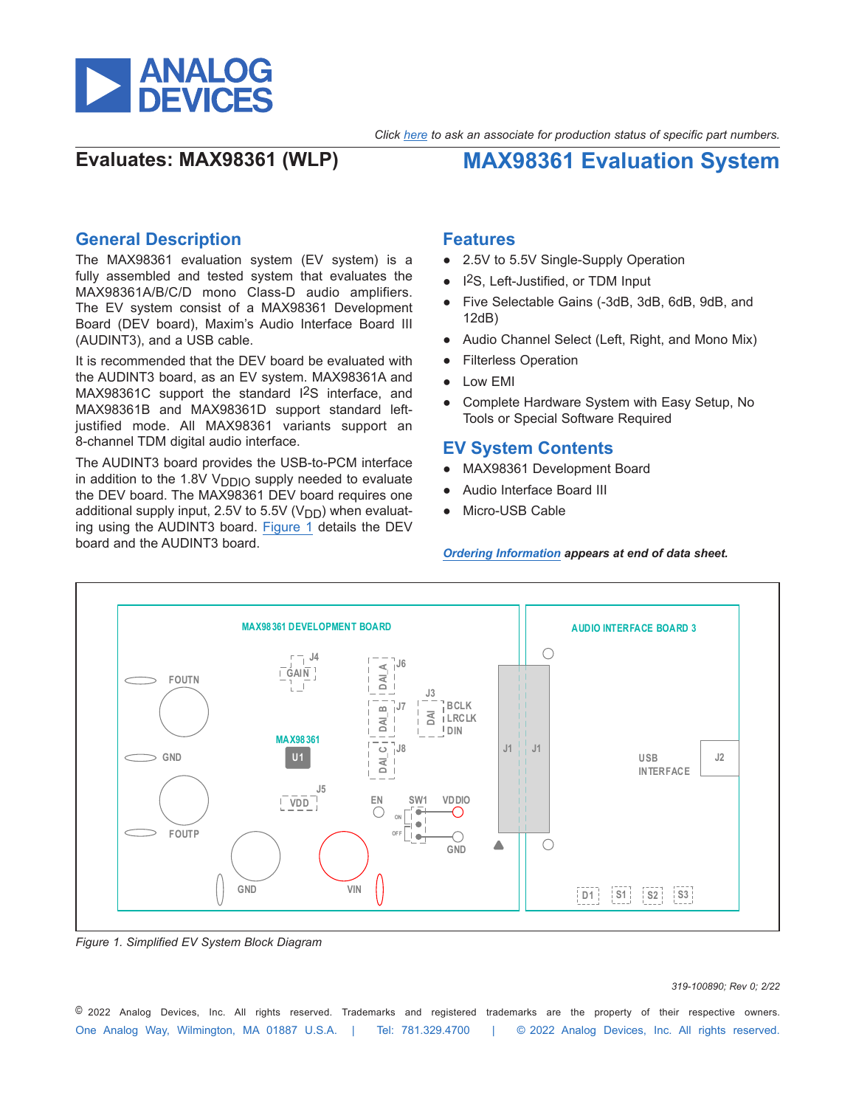

*Click here to ask an associate for production status of specific part numbers.*

**Evaluates: MAX98361 (WLP) MAX98361 Evaluation System**

## **General Description**

The MAX98361 evaluation system (EV system) is a fully assembled and tested system that evaluates the MAX98361A/B/C/D mono Class-D audio amplifiers. The EV system consist of a MAX98361 Development Board (DEV board), Maxim's Audio Interface Board III (AUDINT3), and a USB cable.

It is recommended that the DEV board be evaluated with the AUDINT3 board, as an EV system. MAX98361A and MAX98361C support the standard I2S interface, and MAX98361B and MAX98361D support standard leftjustified mode. All MAX98361 variants support an 8-channel TDM digital audio interface.

The AUDINT3 board provides the USB-to-PCM interface in addition to the 1.8V  $V<sub>DDIO</sub>$  supply needed to evaluate the DEV board. The MAX98361 DEV board requires one additional supply input, 2.5V to 5.5V ( $V<sub>DD</sub>$ ) when evaluating using the AUDINT3 board. [Figure 1](#page-0-0) details the DEV board and the AUDINT3 board.

### **Features**

- 2.5V to 5.5V Single-Supply Operation
- I<sup>2</sup>S, Left-Justified, or TDM Input
- Five Selectable Gains (-3dB, 3dB, 6dB, 9dB, and 12dB)
- Audio Channel Select (Left, Right, and Mono Mix)
- Filterless Operation
- Low EMI
- Complete Hardware System with Easy Setup, No Tools or Special Software Required

## **EV System Contents**

- MAX98361 Development Board
- Audio Interface Board III
- Micro-USB Cable

*[Ordering Information](#page-5-0) appears at end of data sheet.*

<span id="page-0-0"></span>

*Figure 1. Simplified EV System Block Diagram*

### *319-100890; Rev 0; 2/22*

One Analog Way, Wilmington, MA 01887 U.S.A. | Tel: 781.329.4700 | © 2022 Analog Devices, Inc. All rights reserved. © 2022 Analog Devices, Inc. All rights reserved. Trademarks and registered trademarks are the property of their respective owners.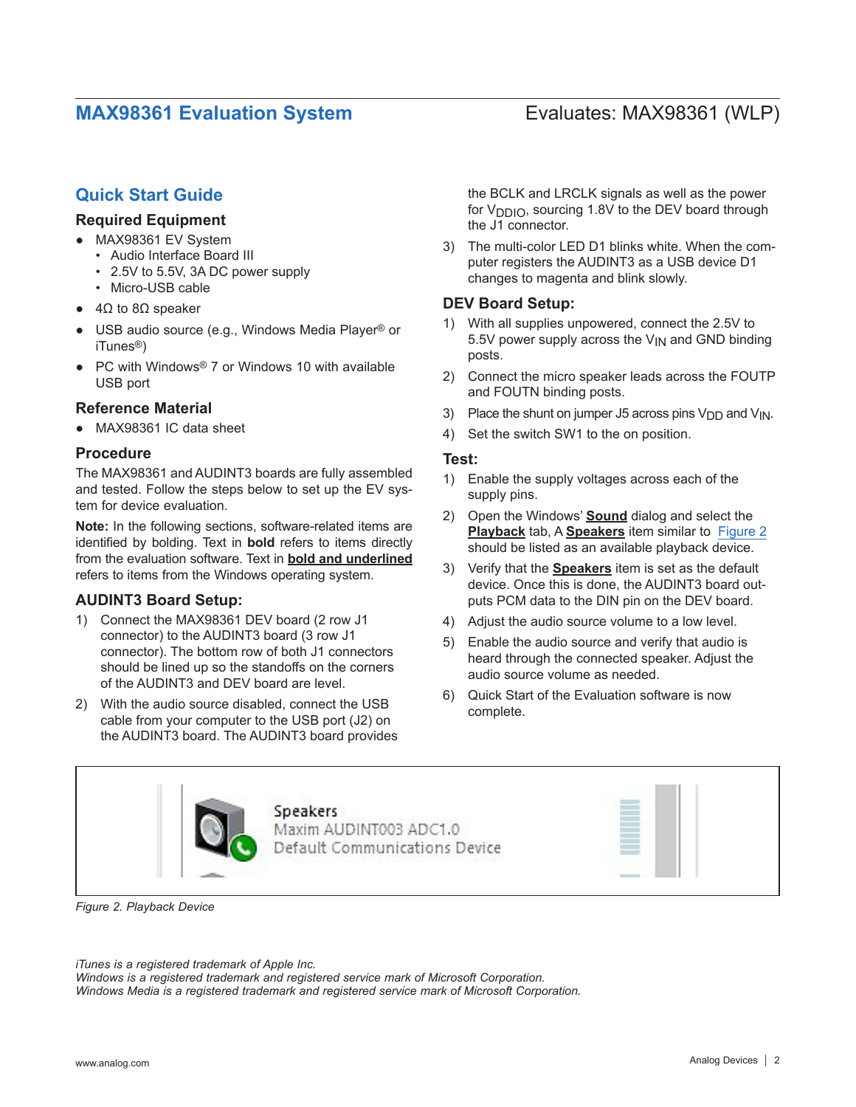## **Quick Start Guide**

## **Required Equipment**

- MAX98361 EV System
	- Audio Interface Board III
	- 2.5V to 5.5V, 3A DC power supply
	- Micro-USB cable
- $\bullet$  4Ω to 8Ω speaker
- USB audio source (e.g., Windows Media Player® or iTunes®)
- PC with Windows<sup>®</sup> 7 or Windows 10 with available USB port

## **Reference Material**

MAX98361 IC data sheet

## **Procedure**

The MAX98361 and AUDINT3 boards are fully assembled and tested. Follow the steps below to set up the EV system for device evaluation.

**Note:** In the following sections, software-related items are identified by bolding. Text in **bold** refers to items directly from the evaluation software. Text in **bold and underlined** refers to items from the Windows operating system.

### **AUDINT3 Board Setup:**

- 1) Connect the MAX98361 DEV board (2 row J1 connector) to the AUDINT3 board (3 row J1 connector). The bottom row of both J1 connectors should be lined up so the standoffs on the corners of the AUDINT3 and DEV board are level.
- 2) With the audio source disabled, connect the USB cable from your computer to the USB port (J2) on the AUDINT3 board. The AUDINT3 board provides

the BCLK and LRCLK signals as well as the power for  $V_{\text{D}}$ <sub>0</sub>, sourcing 1.8V to the DEV board through the J1 connector.

3) The multi-color LED D1 blinks white. When the computer registers the AUDINT3 as a USB device D1 changes to magenta and blink slowly.

## **DEV Board Setup:**

- With all supplies unpowered, connect the 2.5V to 5.5V power supply across the  $V_{IN}$  and GND binding posts.
- 2) Connect the micro speaker leads across the FOUTP and FOUTN binding posts.
- 3) Place the shunt on jumper J5 across pins  $V_{DD}$  and  $V_{IN}$ .
- 4) Set the switch SW1 to the on position.

### **Test:**

- 1) Enable the supply voltages across each of the supply pins.
- 2) Open the Windows' **Sound** dialog and select the **Playback** tab, A **Speakers** item similar to [Figure 2](#page-1-0)  should be listed as an available playback device.
- 3) Verify that the **Speakers** item is set as the default device. Once this is done, the AUDINT3 board outputs PCM data to the DIN pin on the DEV board.
- 4) Adjust the audio source volume to a low level.
- 5) Enable the audio source and verify that audio is heard through the connected speaker. Adjust the audio source volume as needed.
- 6) Quick Start of the Evaluation software is now complete.

<span id="page-1-0"></span>

*Figure 2. Playback Device*

*iTunes is a registered trademark of Apple Inc.* 

*Windows is a registered trademark and registered service mark of Microsoft Corporation. Windows Media is a registered trademark and registered service mark of Microsoft Corporation.*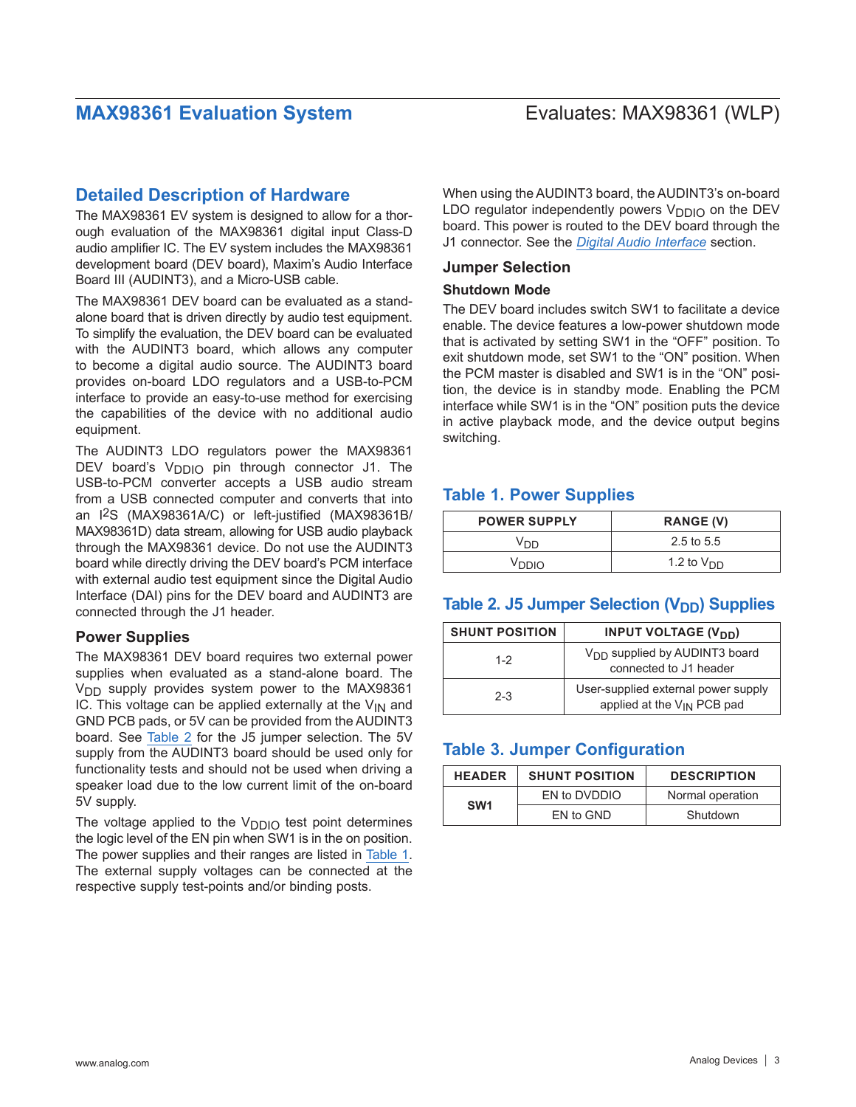## **Detailed Description of Hardware**

The MAX98361 EV system is designed to allow for a thorough evaluation of the MAX98361 digital input Class-D audio amplifier IC. The EV system includes the MAX98361 development board (DEV board), Maxim's Audio Interface Board III (AUDINT3), and a Micro-USB cable.

The MAX98361 DEV board can be evaluated as a standalone board that is driven directly by audio test equipment. To simplify the evaluation, the DEV board can be evaluated with the AUDINT3 board, which allows any computer to become a digital audio source. The AUDINT3 board provides on-board LDO regulators and a USB-to-PCM interface to provide an easy-to-use method for exercising the capabilities of the device with no additional audio equipment.

The AUDINT3 LDO regulators power the MAX98361 DEV board's V<sub>DDIO</sub> pin through connector J1. The USB-to-PCM converter accepts a USB audio stream from a USB connected computer and converts that into an I2S (MAX98361A/C) or left-justified (MAX98361B/ MAX98361D) data stream, allowing for USB audio playback through the MAX98361 device. Do not use the AUDINT3 board while directly driving the DEV board's PCM interface with external audio test equipment since the Digital Audio Interface (DAI) pins for the DEV board and AUDINT3 are connected through the J1 header.

### **Power Supplies**

The MAX98361 DEV board requires two external power supplies when evaluated as a stand-alone board. The  $V<sub>DD</sub>$  supply provides system power to the MAX98361 IC. This voltage can be applied externally at the  $V_{IN}$  and GND PCB pads, or 5V can be provided from the AUDINT3 board. See [Table 2](#page-2-0) for the J5 jumper selection. The 5V supply from the AUDINT3 board should be used only for functionality tests and should not be used when driving a speaker load due to the low current limit of the on-board 5V supply.

The voltage applied to the  $V_{DDIO}$  test point determines the logic level of the EN pin when SW1 is in the on position. The power supplies and their ranges are listed in [Table 1.](#page-2-1) The external supply voltages can be connected at the respective supply test-points and/or binding posts.

When using the AUDINT3 board, the AUDINT3's on-board LDO regulator independently powers  $V_{\text{DDIO}}$  on the DEV board. This power is routed to the DEV board through the J1 connector. See the *[Digital Audio Interface](#page-3-0)* section.

### **Jumper Selection**

### **Shutdown Mode**

The DEV board includes switch SW1 to facilitate a device enable. The device features a low-power shutdown mode that is activated by setting SW1 in the "OFF" position. To exit shutdown mode, set SW1 to the "ON" position. When the PCM master is disabled and SW1 is in the "ON" position, the device is in standby mode. Enabling the PCM interface while SW1 is in the "ON" position puts the device in active playback mode, and the device output begins switching.

## <span id="page-2-1"></span>**Table 1. Power Supplies**

| <b>POWER SUPPLY</b> | <b>RANGE (V)</b> |
|---------------------|------------------|
| Vnn                 | 2.5 to 5.5       |
| Vnnin               | 1.2 to $VDD$     |

## <span id="page-2-0"></span>**Table 2. J5 Jumper Selection (V<sub>DD</sub>) Supplies**

| <b>SHUNT POSITION</b> | <b>INPUT VOLTAGE (V<sub>DD</sub>)</b>                               |
|-----------------------|---------------------------------------------------------------------|
| $1 - 2$               | V <sub>DD</sub> supplied by AUDINT3 board<br>connected to J1 header |
| $2 - 3$               | User-supplied external power supply<br>applied at the VIN PCB pad   |

## <span id="page-2-2"></span>**Table 3. Jumper Configuration**

| <b>HEADER</b>   | <b>SHUNT POSITION</b> | <b>DESCRIPTION</b> |
|-----------------|-----------------------|--------------------|
| SW <sub>1</sub> | EN to DVDDIO          | Normal operation   |
|                 | EN to GND             | Shutdown           |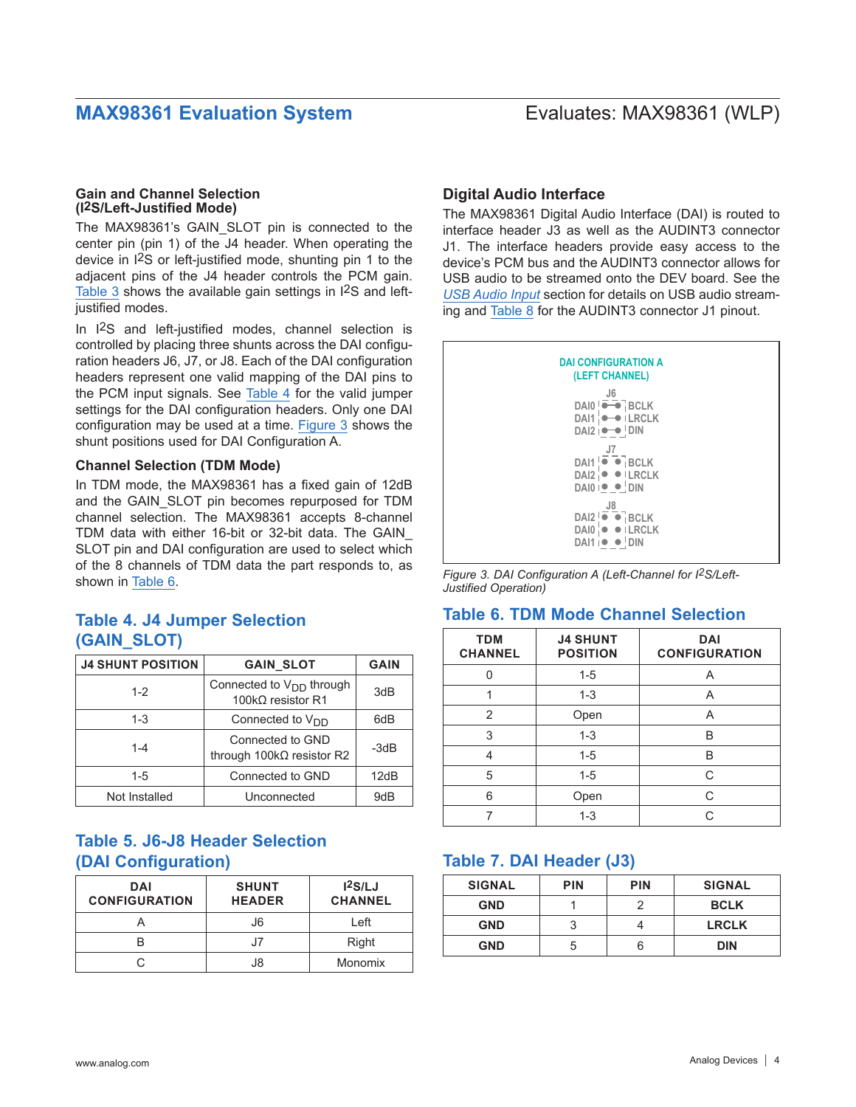### **Gain and Channel Selection (I2S/Left-Justified Mode)**

The MAX98361's GAIN\_SLOT pin is connected to the center pin (pin 1) of the J4 header. When operating the device in I2S or left-justified mode, shunting pin 1 to the adjacent pins of the J4 header controls the PCM gain. [Table 3](#page-2-2) shows the available gain settings in I<sup>2</sup>S and leftjustified modes.

In I2S and left-justified modes, channel selection is controlled by placing three shunts across the DAI configuration headers J6, J7, or J8. Each of the DAI configuration headers represent one valid mapping of the DAI pins to the PCM input signals. See [Table 4](#page-3-1) for the valid jumper settings for the DAI configuration headers. Only one DAI configuration may be used at a time. [Figure 3](#page-3-2) shows the shunt positions used for DAI Configuration A.

## **Channel Selection (TDM Mode)**

In TDM mode, the MAX98361 has a fixed gain of 12dB and the GAIN\_SLOT pin becomes repurposed for TDM channel selection. The MAX98361 accepts 8-channel TDM data with either 16-bit or 32-bit data. The GAIN\_ SLOT pin and DAI configuration are used to select which of the 8 channels of TDM data the part responds to, as shown in [Table 6](#page-3-3).

## <span id="page-3-1"></span>**Table 4. J4 Jumper Selection (GAIN\_SLOT)**

| <b>J4 SHUNT POSITION</b> | <b>GAIN SLOT</b>                                           | <b>GAIN</b> |
|--------------------------|------------------------------------------------------------|-------------|
| $1 - 2$                  | Connected to $V_{DD}$ through<br>100 $k\Omega$ resistor R1 | 3dB         |
| $1 - 3$                  | Connected to $V_{DD}$                                      | 6dB         |
| $1 - 4$                  | Connected to GND<br>through $100k\Omega$ resistor R2       | -3dB        |
| $1 - 5$                  | Connected to GND                                           | 12dB        |
| Not Installed            | Unconnected                                                | 9dB         |

## **Table 5. J6-J8 Header Selection (DAI Configuration)**

| <b>DAI</b><br><b>CONFIGURATION</b> | <b>SHUNT</b><br><b>HEADER</b> | 12S/LJ<br><b>CHANNEL</b> |
|------------------------------------|-------------------------------|--------------------------|
|                                    | J6                            | Left                     |
|                                    |                               | Right                    |
|                                    | .I8                           | Monomix                  |

## <span id="page-3-0"></span>**Digital Audio Interface**

The MAX98361 Digital Audio Interface (DAI) is routed to interface header J3 as well as the AUDINT3 connector J1. The interface headers provide easy access to the device's PCM bus and the AUDINT3 connector allows for USB audio to be streamed onto the DEV board. See the *[USB Audio Input](#page-5-1)* section for details on USB audio streaming and [Table 8](#page-4-0) for the AUDINT3 connector J1 pinout.

<span id="page-3-2"></span>

*Figure 3. DAI Configuration A (Left-Channel for I2S/Left-Justified Operation)*

## <span id="page-3-3"></span>**Table 6. TDM Mode Channel Selection**

| <b>TDM</b><br><b>CHANNEL</b> | <b>J4 SHUNT</b><br><b>POSITION</b> | <b>DAI</b><br><b>CONFIGURATION</b> |
|------------------------------|------------------------------------|------------------------------------|
|                              | $1 - 5$                            | A                                  |
|                              | $1 - 3$                            | Α                                  |
| 2                            | Open                               | A                                  |
| 3                            | $1 - 3$                            | B                                  |
| 4                            | $1 - 5$                            | в                                  |
| 5                            | $1 - 5$                            | C                                  |
| 6                            | Open                               | C                                  |
|                              | $1 - 3$                            | ⌒                                  |

## **Table 7. DAI Header (J3)**

| <b>SIGNAL</b> | <b>PIN</b> | <b>PIN</b> | <b>SIGNAL</b> |
|---------------|------------|------------|---------------|
| <b>GND</b>    |            |            | <b>BCLK</b>   |
| <b>GND</b>    |            |            | <b>LRCLK</b>  |
| <b>GND</b>    |            |            | <b>DIN</b>    |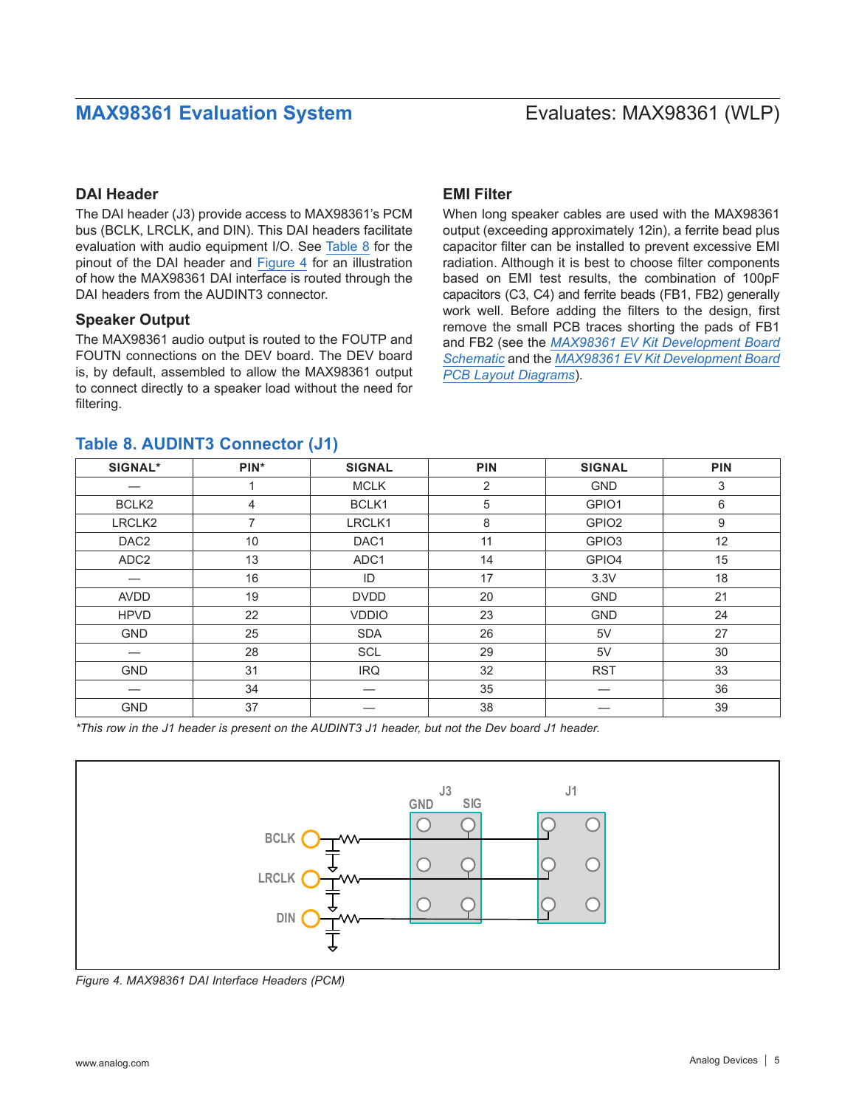## **DAI Header**

The DAI header (J3) provide access to MAX98361's PCM bus (BCLK, LRCLK, and DIN). This DAI headers facilitate evaluation with audio equipment I/O. See [Table 8](#page-4-0) for the pinout of the DAI header and [Figure 4](#page-4-1) for an illustration of how the MAX98361 DAI interface is routed through the DAI headers from the AUDINT3 connector.

### **Speaker Output**

The MAX98361 audio output is routed to the FOUTP and FOUTN connections on the DEV board. The DEV board is, by default, assembled to allow the MAX98361 output to connect directly to a speaker load without the need for filtering.

## <span id="page-4-0"></span>**Table 8. AUDINT3 Connector (J1)**

## **EMI Filter**

When long speaker cables are used with the MAX98361 output (exceeding approximately 12in), a ferrite bead plus capacitor filter can be installed to prevent excessive EMI radiation. Although it is best to choose filter components based on EMI test results, the combination of 100pF capacitors (C3, C4) and ferrite beads (FB1, FB2) generally work well. Before adding the filters to the design, first remove the small PCB traces shorting the pads of FB1 and FB2 (see the *[MAX98361 EV Kit Development Board](#page-7-0)  [Schematic](#page-7-0)* and the *[MAX98361 EV Kit Development Board](#page-8-0)  [PCB Layout Diagrams](#page-8-0)*).

| <b>SIGNAL*</b>           | PIN* | <b>SIGNAL</b> | <b>PIN</b> | <b>SIGNAL</b>     | <b>PIN</b> |
|--------------------------|------|---------------|------------|-------------------|------------|
|                          |      | <b>MCLK</b>   | 2          | <b>GND</b>        | 3          |
| BCLK2                    | 4    | BCLK1         | 5          | GPIO1             | 6          |
| LRCLK <sub>2</sub>       | 7    | LRCLK1        | 8          | GPIO <sub>2</sub> | 9          |
| DAC <sub>2</sub>         | 10   | DAC1          | 11         | GPIO <sub>3</sub> | 12         |
| ADC <sub>2</sub>         | 13   | ADC1          | 14         | GPIO4             | 15         |
| –                        | 16   | ID            | 17         | 3.3V              | 18         |
| AVDD                     | 19   | <b>DVDD</b>   | 20         | <b>GND</b>        | 21         |
| <b>HPVD</b>              | 22   | <b>VDDIO</b>  | 23         | <b>GND</b>        | 24         |
| <b>GND</b>               | 25   | <b>SDA</b>    | 26         | 5V                | 27         |
| $\overline{\phantom{0}}$ | 28   | <b>SCL</b>    | 29         | 5V                | 30         |
| <b>GND</b>               | 31   | <b>IRQ</b>    | 32         | <b>RST</b>        | 33         |
| —                        | 34   |               | 35         |                   | 36         |
| <b>GND</b>               | 37   |               | 38         |                   | 39         |

*\*This row in the J1 header is present on the AUDINT3 J1 header, but not the Dev board J1 header.*

<span id="page-4-1"></span>

*Figure 4. MAX98361 DAI Interface Headers (PCM)*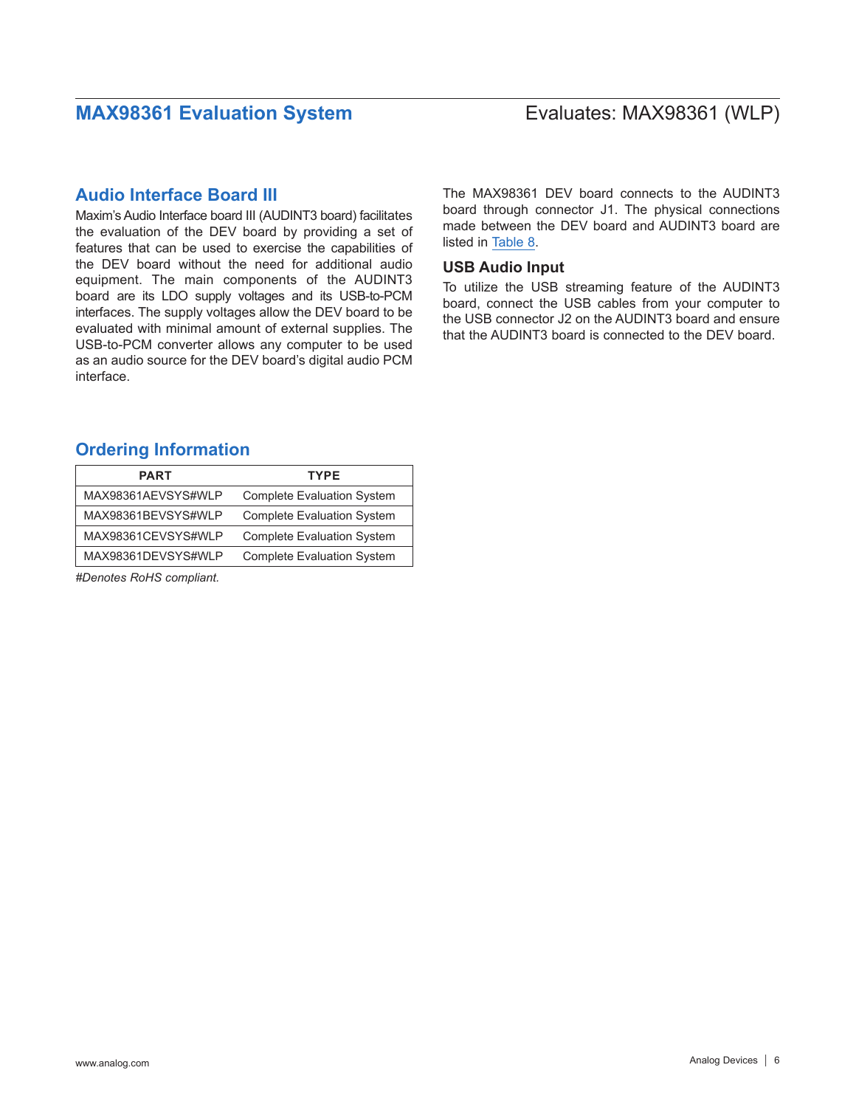## **Audio Interface Board III**

Maxim's Audio Interface board III (AUDINT3 board) facilitates the evaluation of the DEV board by providing a set of features that can be used to exercise the capabilities of the DEV board without the need for additional audio equipment. The main components of the AUDINT3 board are its LDO supply voltages and its USB-to-PCM interfaces. The supply voltages allow the DEV board to be evaluated with minimal amount of external supplies. The USB-to-PCM converter allows any computer to be used as an audio source for the DEV board's digital audio PCM interface.

## <span id="page-5-0"></span>**Ordering Information**

| <b>PART</b>        | <b>TYPE</b>                       |
|--------------------|-----------------------------------|
| MAX98361AEVSYS#WLP | <b>Complete Evaluation System</b> |
| MAX98361BEVSYS#WLP | <b>Complete Evaluation System</b> |
| MAX98361CEVSYS#WLP | <b>Complete Evaluation System</b> |
| MAX98361DEVSYS#WLP | <b>Complete Evaluation System</b> |

*#Denotes RoHS compliant.*

The MAX98361 DEV board connects to the AUDINT3 board through connector J1. The physical connections made between the DEV board and AUDINT3 board are listed in [Table 8.](#page-4-0)

### <span id="page-5-1"></span>**USB Audio Input**

To utilize the USB streaming feature of the AUDINT3 board, connect the USB cables from your computer to the USB connector J2 on the AUDINT3 board and ensure that the AUDINT3 board is connected to the DEV board.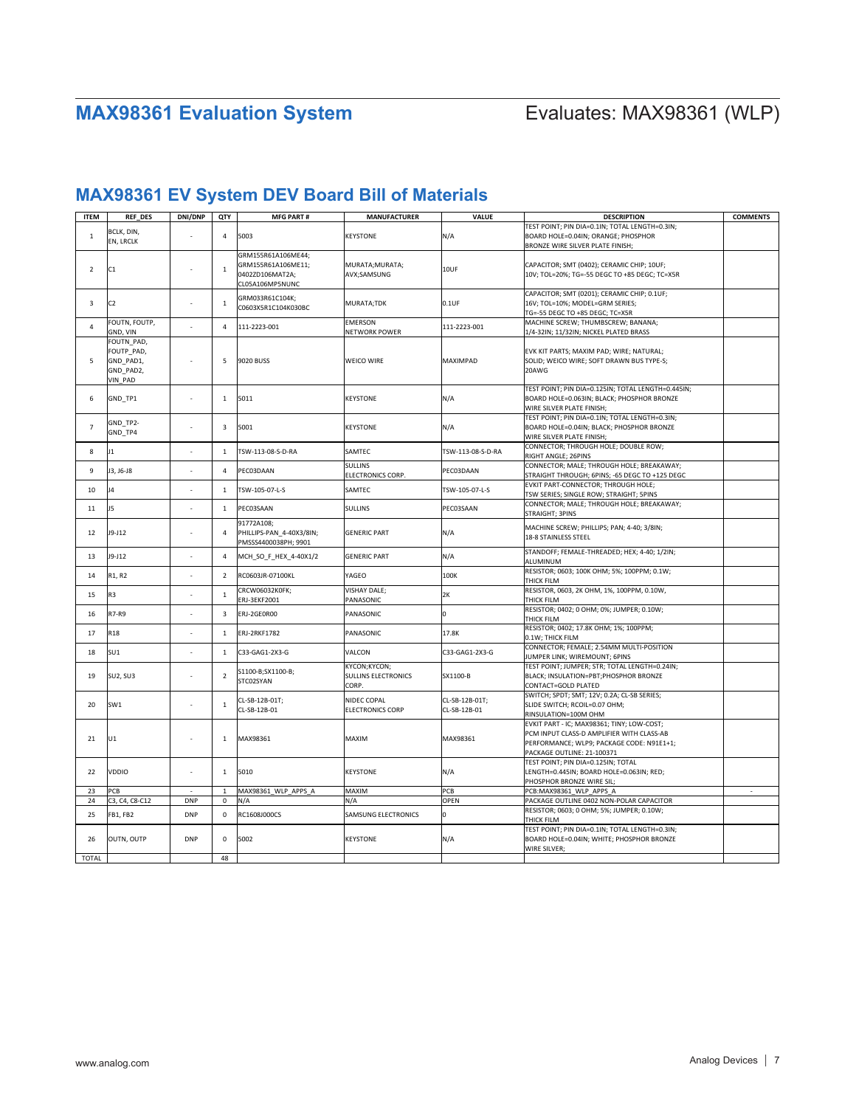# **MAX98361 EV System DEV Board Bill of Materials**

| <b>ITEM</b>    | <b>REF DES</b>  | DNI/DNP    | QTY            | <b>MFG PART#</b>         | <b>MANUFACTURER</b>        | <b>VALUE</b>      | <b>DESCRIPTION</b>                                       | <b>COMMENTS</b> |
|----------------|-----------------|------------|----------------|--------------------------|----------------------------|-------------------|----------------------------------------------------------|-----------------|
|                | BCLK, DIN,      |            |                |                          |                            |                   | TEST POINT; PIN DIA=0.1IN; TOTAL LENGTH=0.3IN;           |                 |
| $\mathbf{1}$   | EN, LRCLK       |            | $\overline{4}$ | 5003                     | <b>KEYSTONE</b>            | N/A               | BOARD HOLE=0.04IN; ORANGE; PHOSPHOR                      |                 |
|                |                 |            |                |                          |                            |                   | BRONZE WIRE SILVER PLATE FINISH;                         |                 |
|                |                 |            |                | GRM155R61A106ME44;       |                            |                   |                                                          |                 |
| $\overline{2}$ | C1              |            | $\mathbf{1}$   | GRM155R61A106ME11;       | MURATA; MURATA;            | 10UF              | CAPACITOR; SMT (0402); CERAMIC CHIP; 10UF;               |                 |
|                |                 |            |                | 0402ZD106MAT2A;          | AVX;SAMSUNG                |                   | 10V; TOL=20%; TG=-55 DEGC TO +85 DEGC; TC=X5R            |                 |
|                |                 |            |                | CL05A106MP5NUNC          |                            |                   |                                                          |                 |
|                |                 |            |                | GRM033R61C104K;          |                            |                   | CAPACITOR; SMT (0201); CERAMIC CHIP; 0.1UF;              |                 |
| 3              | C <sub>2</sub>  |            | $\mathbf{1}$   | C0603X5R1C104K030BC      | MURATA;TDK                 | $0.1$ UF          | 16V; TOL=10%; MODEL=GRM SERIES;                          |                 |
|                |                 |            |                |                          |                            |                   | TG=-55 DEGC TO +85 DEGC; TC=X5R                          |                 |
| $\overline{4}$ | FOUTN, FOUTP,   |            | $\overline{4}$ | 111-2223-001             | <b>EMERSON</b>             | 111-2223-001      | MACHINE SCREW; THUMBSCREW; BANANA;                       |                 |
|                | GND, VIN        |            |                |                          | NETWORK POWER              |                   | 1/4-32IN; 11/32IN; NICKEL PLATED BRASS                   |                 |
|                | FOUTN PAD,      |            |                |                          |                            |                   |                                                          |                 |
|                | FOUTP_PAD,      |            |                |                          |                            |                   | EVK KIT PARTS; MAXIM PAD; WIRE; NATURAL;                 |                 |
| 5              | GND PAD1,       |            | 5              | 9020 BUSS                | WEICO WIRE                 | MAXIMPAD          | SOLID; WEICO WIRE; SOFT DRAWN BUS TYPE-S;                |                 |
|                | GND_PAD2,       |            |                |                          |                            |                   | 20AWG                                                    |                 |
|                | VIN_PAD         |            |                |                          |                            |                   |                                                          |                 |
|                |                 |            |                |                          |                            |                   | TEST POINT; PIN DIA=0.125IN; TOTAL LENGTH=0.445IN;       |                 |
| 6              | GND_TP1         |            | $\overline{1}$ | 5011                     | KEYSTONE                   | N/A               | BOARD HOLE=0.063IN; BLACK; PHOSPHOR BRONZE               |                 |
|                |                 |            |                |                          |                            |                   | WIRE SILVER PLATE FINISH;                                |                 |
|                | GND_TP2-        |            |                |                          |                            |                   | TEST POINT; PIN DIA=0.1IN; TOTAL LENGTH=0.3IN;           |                 |
| $\overline{7}$ | GND TP4         |            | 3              | 5001                     | <b>KEYSTONE</b>            | N/A               | BOARD HOLE=0.04IN; BLACK; PHOSPHOR BRONZE                |                 |
|                |                 |            |                |                          |                            |                   | WIRE SILVER PLATE FINISH;                                |                 |
| 8              | 11              |            | $\mathbf{1}$   | TSW-113-08-S-D-RA        | SAMTEC                     | TSW-113-08-S-D-RA | CONNECTOR; THROUGH HOLE; DOUBLE ROW;                     |                 |
|                |                 |            |                |                          |                            |                   | RIGHT ANGLE; 26PINS                                      |                 |
| 9              | J3, J6-J8       |            | $\overline{4}$ | PEC03DAAN                | <b>SULLINS</b>             | PEC03DAAN         | CONNECTOR; MALE; THROUGH HOLE; BREAKAWAY;                |                 |
|                |                 |            |                |                          | ELECTRONICS CORP.          |                   | STRAIGHT THROUGH; 6PINS; -65 DEGC TO +125 DEGC           |                 |
| 10             | J4              |            | $\mathbf{1}$   | TSW-105-07-L-S           | SAMTEC                     | TSW-105-07-L-S    | EVKIT PART-CONNECTOR; THROUGH HOLE;                      |                 |
|                |                 |            |                |                          |                            |                   | TSW SERIES; SINGLE ROW; STRAIGHT; 5PINS                  |                 |
| $11\,$         | J5              |            | $\mathbf{1}$   | PEC03SAAN                | <b>SULLINS</b>             | PEC03SAAN         | CONNECTOR; MALE; THROUGH HOLE; BREAKAWAY;                |                 |
|                |                 |            |                |                          |                            |                   | STRAIGHT; 3PINS                                          |                 |
|                |                 |            |                | 91772A108;               |                            |                   | MACHINE SCREW; PHILLIPS; PAN; 4-40; 3/8IN;               |                 |
| 12             | J9-J12          |            | $\overline{4}$ | PHILLIPS-PAN 4-40X3/8IN; | <b>GENERIC PART</b>        | N/A               | 18-8 STAINLESS STEEL                                     |                 |
|                |                 |            |                | PMSSS4400038PH; 9901     |                            |                   |                                                          |                 |
| 13             | J9-J12          |            | $\overline{4}$ | MCH SO F HEX 4-40X1/2    | <b>GENERIC PART</b>        | N/A               | STANDOFF; FEMALE-THREADED; HEX; 4-40; 1/2IN;<br>ALUMINUM |                 |
|                |                 |            |                |                          |                            |                   | RESISTOR; 0603; 100K OHM; 5%; 100PPM; 0.1W;              |                 |
| 14             | R1, R2          |            | $\overline{2}$ | RC0603JR-07100KL         | YAGEO                      | 100K              | THICK FILM                                               |                 |
|                |                 |            |                | CRCW06032K0FK;           | <b>VISHAY DALE;</b>        |                   | RESISTOR, 0603, 2K OHM, 1%, 100PPM, 0.10W,               |                 |
| 15             | R3              |            | $\mathbf 1$    | ERJ-3EKF2001             | PANASONIC                  | 2K                | THICK FILM                                               |                 |
|                |                 |            |                |                          |                            |                   | RESISTOR; 0402; 0 OHM; 0%; JUMPER; 0.10W;                |                 |
| 16             | R7-R9           |            | 3              | ERJ-2GEOR00              | PANASONIC                  | O                 | THICK FILM                                               |                 |
|                |                 |            |                |                          |                            |                   | RESISTOR; 0402; 17.8K OHM; 1%; 100PPM;                   |                 |
| 17             | R <sub>18</sub> | $\sim$     | $\mathbf{1}$   | <b>ERJ-2RKF1782</b>      | PANASONIC                  | 17.8K             | 0.1W; THICK FILM                                         |                 |
|                |                 |            |                |                          |                            |                   | CONNECTOR; FEMALE; 2.54MM MULTI-POSITION                 |                 |
| 18             | SU1             |            | $\mathbf 1$    | C33-GAG1-2X3-G           | VALCON                     | C33-GAG1-2X3-G    | JUMPER LINK: WIREMOUNT: 6PINS                            |                 |
|                |                 |            |                |                          | KYCON; KYCON;              |                   | TEST POINT; JUMPER; STR; TOTAL LENGTH=0.24IN;            |                 |
| 19             | SU2, SU3        |            | $\overline{2}$ | S1100-B;SX1100-B;        | <b>SULLINS ELECTRONICS</b> | SX1100-B          | BLACK; INSULATION=PBT;PHOSPHOR BRONZE                    |                 |
|                |                 |            |                | STC02SYAN                | CORP.                      |                   | CONTACT=GOLD PLATED                                      |                 |
|                |                 |            |                |                          |                            |                   | SWITCH; SPDT; SMT; 12V; 0.2A; CL-SB SERIES;              |                 |
| 20             | SW <sub>1</sub> |            | $\mathbf 1$    | CL-SB-12B-01T;           | NIDEC COPAL                | CL-SB-12B-01T;    | SLIDE SWITCH; RCOIL=0.07 OHM;                            |                 |
|                |                 |            |                | CL-SB-12B-01             | <b>ELECTRONICS CORP</b>    | CL-SB-12B-01      | RINSULATION=100M OHM                                     |                 |
|                |                 |            |                |                          |                            |                   | EVKIT PART - IC; MAX98361; TINY; LOW-COST;               |                 |
|                |                 |            | $\mathbf{1}$   |                          |                            |                   | PCM INPUT CLASS-D AMPLIFIER WITH CLASS-AB                |                 |
| 21             | U1              |            |                | MAX98361                 | MAXIM                      | MAX98361          | PERFORMANCE; WLP9; PACKAGE CODE: N91E1+1;                |                 |
|                |                 |            |                |                          |                            |                   | PACKAGE OUTLINE: 21-100371                               |                 |
|                |                 |            |                |                          |                            |                   | TEST POINT; PIN DIA=0.125IN; TOTAL                       |                 |
| 22             | VDDIO           |            | $\mathbf{1}$   | 5010                     | <b>KEYSTONE</b>            | N/A               | LENGTH=0.445IN; BOARD HOLE=0.063IN; RED;                 |                 |
|                |                 |            |                |                          |                            |                   | PHOSPHOR BRONZE WIRE SIL:                                |                 |
| 23             | PCB             | $\sim$     | $\,$ 1 $\,$    | MAX98361_WLP_APPS_A      | MAXIM                      | PCB               | PCB:MAX98361_WLP_APPS_A                                  | $\sim$          |
| 24             | C3, C4, C8-C12  | <b>DNP</b> | $\mathsf 0$    | N/A                      | N/A                        | OPEN              | PACKAGE OUTLINE 0402 NON-POLAR CAPACITOR                 |                 |
| 25             | FB1, FB2        | <b>DNP</b> | $\mathsf 0$    | RC1608J000CS             | SAMSUNG ELECTRONICS        | <sup>o</sup>      | RESISTOR; 0603; 0 OHM; 5%; JUMPER; 0.10W;                |                 |
|                |                 |            |                |                          |                            |                   | THICK FILM                                               |                 |
|                |                 |            |                |                          |                            |                   | TEST POINT; PIN DIA=0.1IN; TOTAL LENGTH=0.3IN;           |                 |
| 26             | OUTN, OUTP      | <b>DNP</b> | $\mathbf 0$    | 5002                     | <b>KEYSTONE</b>            | N/A               | BOARD HOLE=0.04IN; WHITE; PHOSPHOR BRONZE                |                 |
|                |                 |            |                |                          |                            |                   | WIRE SILVER;                                             |                 |
| <b>TOTAL</b>   |                 |            | 48             |                          |                            |                   |                                                          |                 |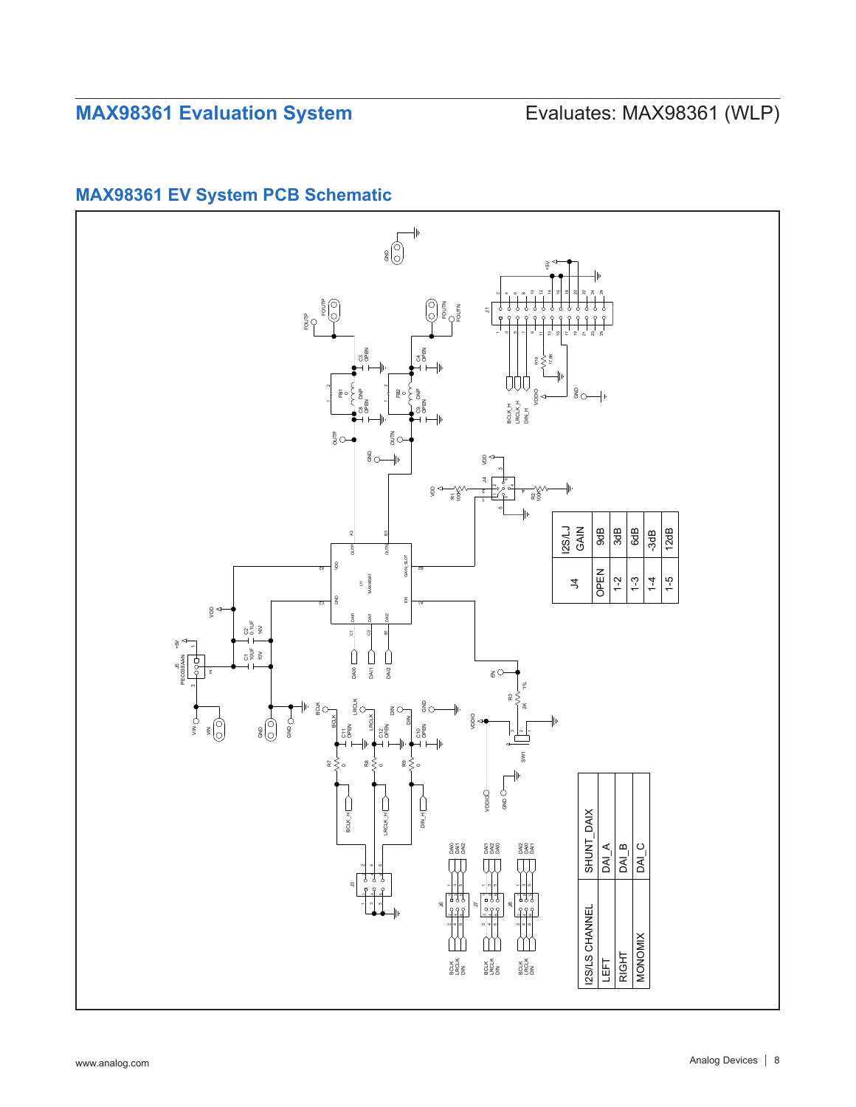## <span id="page-7-0"></span>**MAX98361 EV System PCB Schematic**

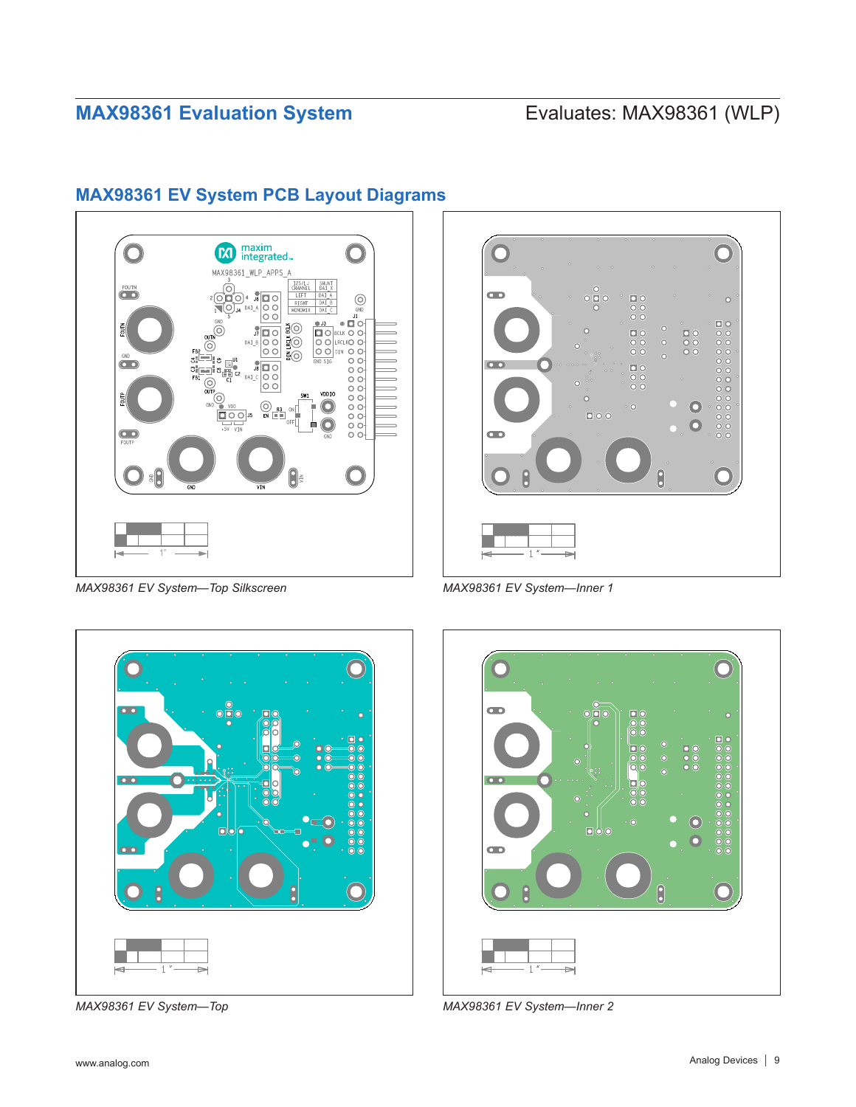

## <span id="page-8-0"></span>**MAX98361 EV System PCB Layout Diagrams**

*MAX98361 EV System—Top Silkscreen MAX98361 EV System—Inner 1*







*MAX98361 EV System—Top MAX98361 EV System—Inner 2*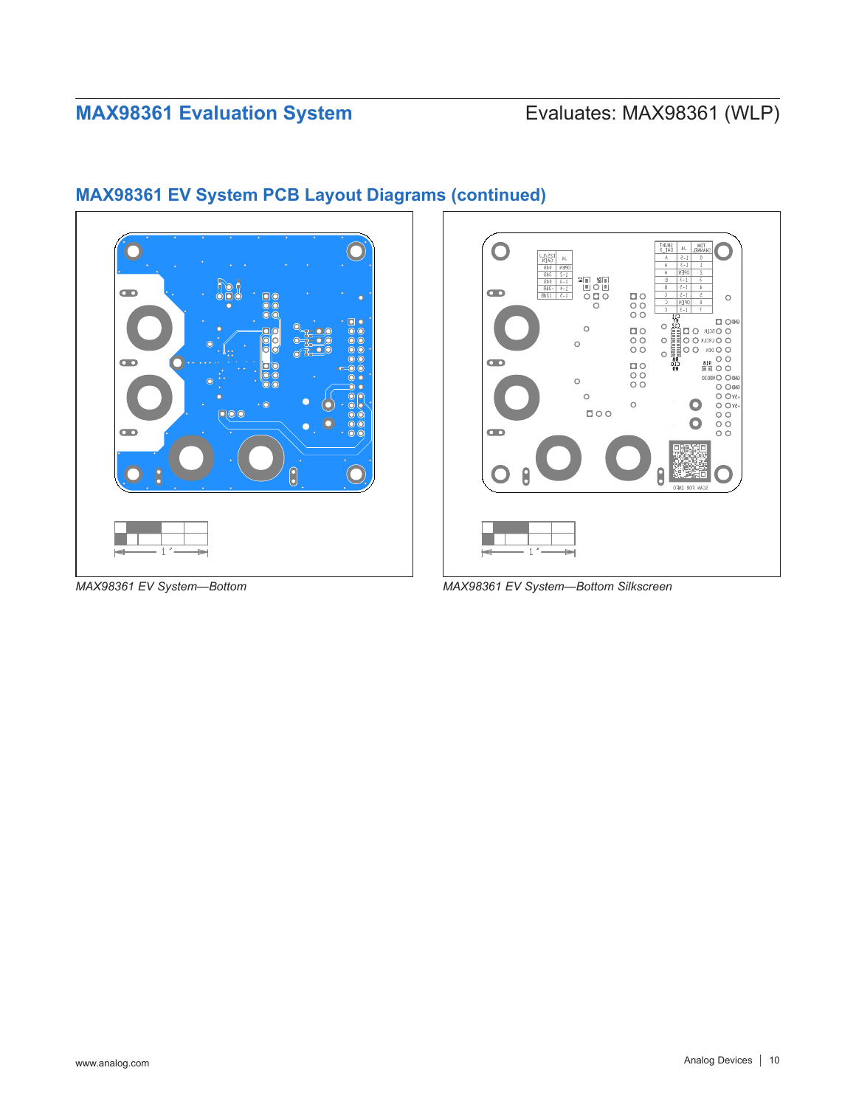

## **MAX98361 EV System PCB Layout Diagrams (continued)**



*MAX98361 EV System—Bottom MAX98361 EV System—Bottom Silkscreen*